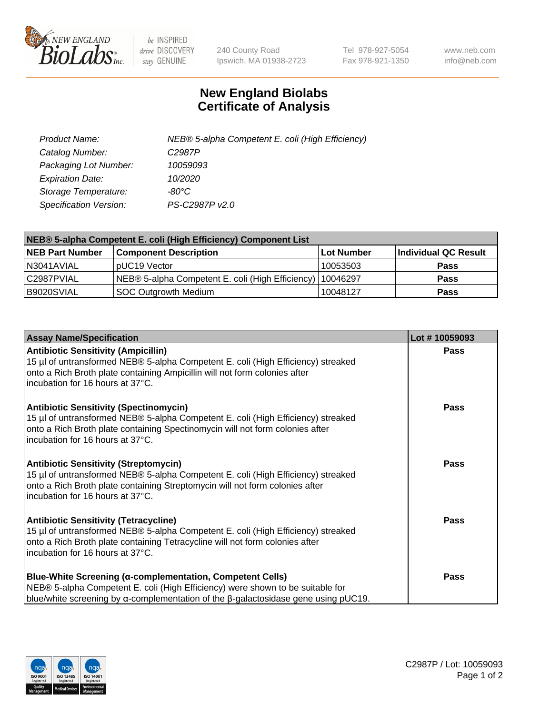

 $be$  INSPIRED drive DISCOVERY stay GENUINE

240 County Road Ipswich, MA 01938-2723 Tel 978-927-5054 Fax 978-921-1350 www.neb.com info@neb.com

## **New England Biolabs Certificate of Analysis**

| Product Name:                 | NEB® 5-alpha Competent E. coli (High Efficiency) |
|-------------------------------|--------------------------------------------------|
| Catalog Number:               | C <sub>2987</sub> P                              |
| Packaging Lot Number:         | 10059093                                         |
| <b>Expiration Date:</b>       | 10/2020                                          |
| Storage Temperature:          | -80°C                                            |
| <b>Specification Version:</b> | PS-C2987P v2.0                                   |

| NEB® 5-alpha Competent E. coli (High Efficiency) Component List |                                                  |            |                      |  |
|-----------------------------------------------------------------|--------------------------------------------------|------------|----------------------|--|
| <b>NEB Part Number</b>                                          | <b>Component Description</b>                     | Lot Number | Individual QC Result |  |
| N3041AVIAL                                                      | pUC19 Vector                                     | 10053503   | <b>Pass</b>          |  |
| C2987PVIAL                                                      | NEB® 5-alpha Competent E. coli (High Efficiency) | 10046297   | <b>Pass</b>          |  |
| B9020SVIAL                                                      | SOC Outgrowth Medium                             | 10048127   | <b>Pass</b>          |  |

| <b>Assay Name/Specification</b>                                                                                                                                                                                                                         | Lot #10059093 |
|---------------------------------------------------------------------------------------------------------------------------------------------------------------------------------------------------------------------------------------------------------|---------------|
| <b>Antibiotic Sensitivity (Ampicillin)</b><br>15 µl of untransformed NEB® 5-alpha Competent E. coli (High Efficiency) streaked<br>onto a Rich Broth plate containing Ampicillin will not form colonies after<br>incubation for 16 hours at 37°C.        | <b>Pass</b>   |
| <b>Antibiotic Sensitivity (Spectinomycin)</b><br>15 µl of untransformed NEB® 5-alpha Competent E. coli (High Efficiency) streaked<br>onto a Rich Broth plate containing Spectinomycin will not form colonies after<br>incubation for 16 hours at 37°C.  | <b>Pass</b>   |
| <b>Antibiotic Sensitivity (Streptomycin)</b><br>15 µl of untransformed NEB® 5-alpha Competent E. coli (High Efficiency) streaked<br>onto a Rich Broth plate containing Streptomycin will not form colonies after<br>incubation for 16 hours at 37°C.    | Pass          |
| <b>Antibiotic Sensitivity (Tetracycline)</b><br>15 µl of untransformed NEB® 5-alpha Competent E. coli (High Efficiency) streaked<br>onto a Rich Broth plate containing Tetracycline will not form colonies after<br>incubation for 16 hours at 37°C.    | Pass          |
| <b>Blue-White Screening (α-complementation, Competent Cells)</b><br>NEB® 5-alpha Competent E. coli (High Efficiency) were shown to be suitable for<br>blue/white screening by $\alpha$ -complementation of the $\beta$ -galactosidase gene using pUC19. | Pass          |